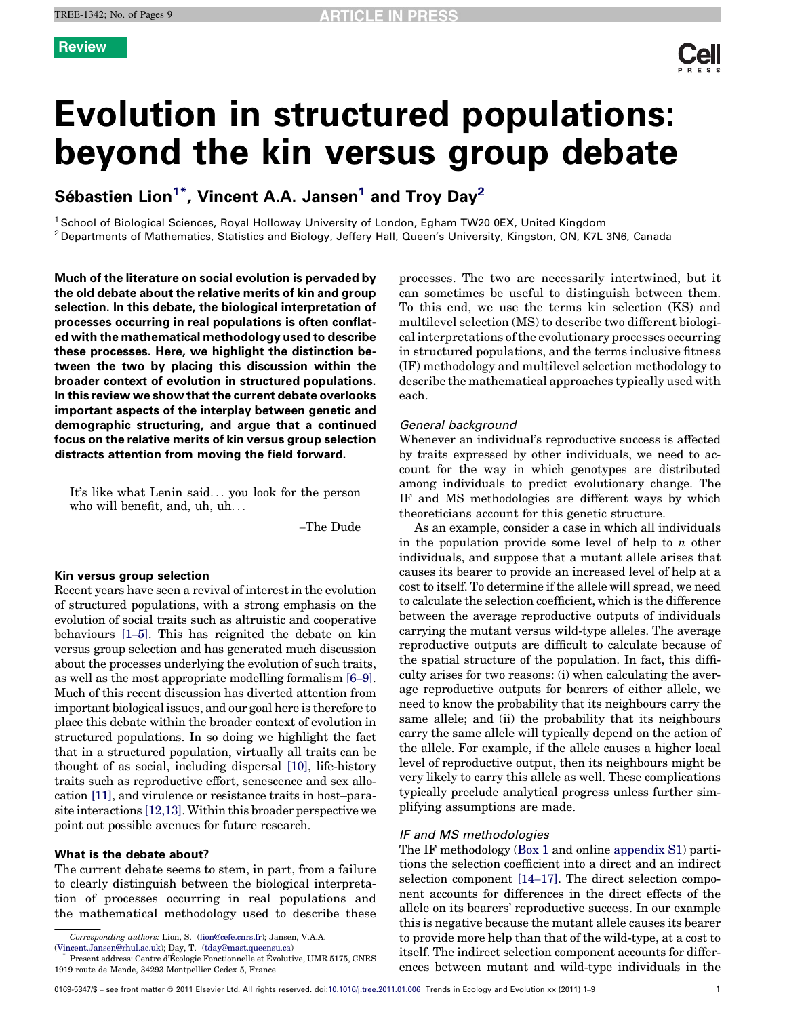

# Evolution in structured populations: beyond the kin versus group debate

Sébastien Lion<sup>1\*</sup>, Vincent A.A. Jansen<sup>1</sup> and Troy Day<sup>2</sup>

<sup>1</sup> School of Biological Sciences, Royal Holloway University of London, Egham TW20 0EX, United Kingdom <sup>2</sup> Departments of Mathematics, Statistics and Biology, Jeffery Hall, Queen's University, Kingston, ON, K7L 3N6, Canada

Much of the literature on social evolution is pervaded by the old debate about the relative merits of kin and group selection. In this debate, the biological interpretation of processes occurring in real populations is often conflated with the mathematical methodology used to describe these processes. Here, we highlight the distinction between the two by placing this discussion within the broader context of evolution in structured populations. In this review we show that the current debate overlooks important aspects of the interplay between genetic and demographic structuring, and argue that a continued focus on the relative merits of kin versus group selection distracts attention from moving the field forward.

It's like what Lenin said... you look for the person who will benefit, and, uh, uh...

–The Dude

### Kin versus group selection

Recent years have seen a revival of interest in the evolution of structured populations, with a strong emphasis on the evolution of social traits such as altruistic and cooperative behaviours [1–[5\].](#page-7-0) This has reignited the debate on kin versus group selection and has generated much discussion about the processes underlying the evolution of such traits, as well as the most appropriate modelling formalism [\[6](#page-7-0)–9]. Much of this recent discussion has diverted attention from important biological issues, and our goal here is therefore to place this debate within the broader context of evolution in structured populations. In so doing we highlight the fact that in a structured population, virtually all traits can be thought of as social, including dispersal [\[10\]](#page-7-0), life-history traits such as reproductive effort, senescence and sex allocation [\[11\]](#page-7-0), and virulence or resistance traits in host–parasite interactions [\[12,13\].](#page-7-0) Within this broader perspective we point out possible avenues for future research.

# What is the debate about?

The current debate seems to stem, in part, from a failure to clearly distinguish between the biological interpretation of processes occurring in real populations and the mathematical methodology used to describe these

Corresponding authors: Lion, S. [\(lion@cefe.cnrs.fr](mailto:lion@cefe.cnrs.fr)); Jansen, V.A.A.

processes. The two are necessarily intertwined, but it can sometimes be useful to distinguish between them. To this end, we use the terms kin selection (KS) and multilevel selection (MS) to describe two different biological interpretations of the evolutionary processes occurring in structured populations, and the terms inclusive fitness (IF) methodology and multilevel selection methodology to describe the mathematical approaches typically used with each.

# General background

Whenever an individual's reproductive success is affected by traits expressed by other individuals, we need to account for the way in which genotypes are distributed among individuals to predict evolutionary change. The IF and MS methodologies are different ways by which theoreticians account for this genetic structure.

As an example, consider a case in which all individuals in the population provide some level of help to  $n$  other individuals, and suppose that a mutant allele arises that causes its bearer to provide an increased level of help at a cost to itself. To determine if the allele will spread, we need to calculate the selection coefficient, which is the difference between the average reproductive outputs of individuals carrying the mutant versus wild-type alleles. The average reproductive outputs are difficult to calculate because of the spatial structure of the population. In fact, this difficulty arises for two reasons: (i) when calculating the average reproductive outputs for bearers of either allele, we need to know the probability that its neighbours carry the same allele; and (ii) the probability that its neighbours carry the same allele will typically depend on the action of the allele. For example, if the allele causes a higher local level of reproductive output, then its neighbours might be very likely to carry this allele as well. These complications typically preclude analytical progress unless further simplifying assumptions are made.

# IF and MS methodologies

The IF methodology [\(Box 1](#page-1-0) and online appendix S1) partitions the selection coefficient into a direct and an indirect selection component [14–[17\].](#page-7-0) The direct selection component accounts for differences in the direct effects of the allele on its bearers' reproductive success. In our example this is negative because the mutant allele causes its bearer to provide more help than that of the wild-type, at a cost to itself. The indirect selection component accounts for differences between mutant and wild-type individuals in the

<sup>(</sup>[Vincent.Jansen@rhul.ac.uk](mailto:Vincent.Jansen@rhul.ac.uk)); Day, T. ([tday@mast.queensu.ca](mailto:tday@mast.queensu.ca))

Present address: Centre d'Écologie Fonctionnelle et Évolutive, UMR 5175, CNRS 1919 route de Mende, 34293 Montpellier Cedex 5, France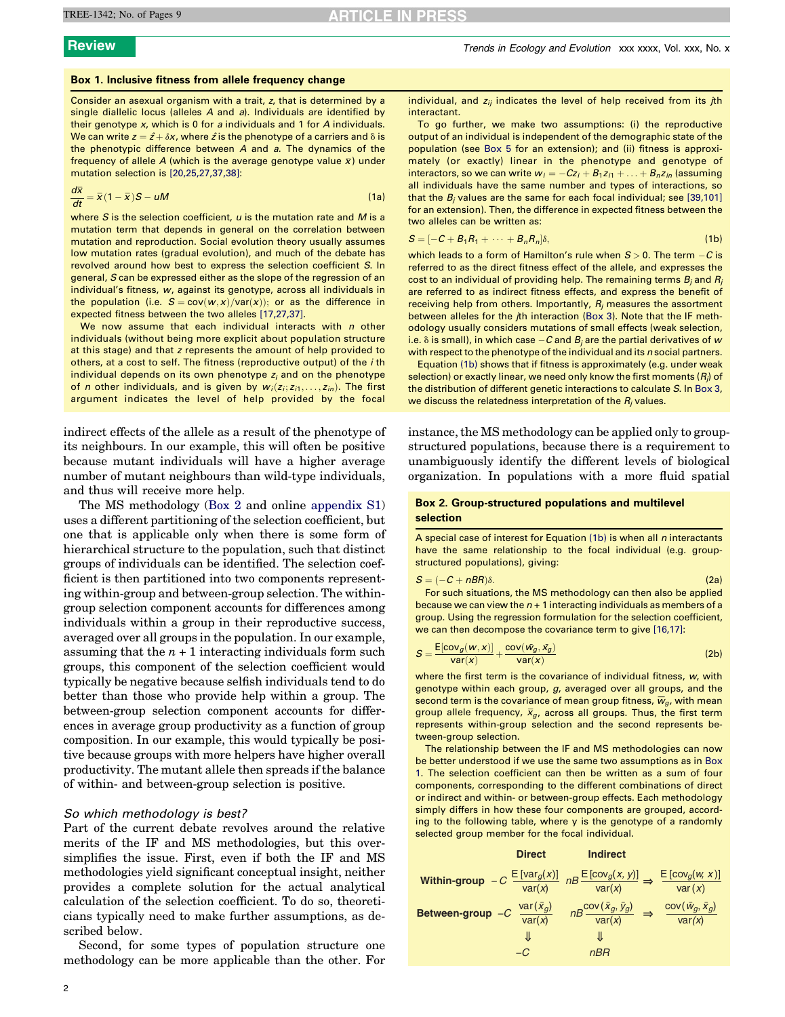# <span id="page-1-0"></span>Box 1. Inclusive fitness from allele frequency change

Consider an asexual organism with a trait, z, that is determined by a single diallelic locus (alleles A and a). Individuals are identified by their genotype x, which is 0 for a individuals and 1 for A individuals. We can write  $z = \hat{z} + \delta x$ , where  $\hat{z}$  is the phenotype of a carriers and  $\delta$  is the phenotypic difference between A and a. The dynamics of the frequency of allele A (which is the average genotype value  $\bar{x}$ ) under mutation selection is [\[20,25,27,37,38\]](#page-7-0):

$$
\frac{d\overline{x}}{dt} = \overline{x}(1-\overline{x})S - uM
$$
 (1a)

where  $S$  is the selection coefficient,  $u$  is the mutation rate and  $M$  is a mutation term that depends in general on the correlation between mutation and reproduction. Social evolution theory usually assumes low mutation rates (gradual evolution), and much of the debate has revolved around how best to express the selection coefficient S. In general, S can be expressed either as the slope of the regression of an individual's fitness, w, against its genotype, across all individuals in the population (i.e.  $S = cov(w, x)/var(x)$ ); or as the difference in expected fitness between the two alleles [\[17,27,37\].](#page-7-0)

We now assume that each individual interacts with  $n$  other individuals (without being more explicit about population structure at this stage) and that z represents the amount of help provided to others, at a cost to self. The fitness (reproductive output) of the *i* th individual depends on its own phenotype  $z_i$  and on the phenotype of n other individuals, and is given by  $w_i(z_i; z_{i1}, \ldots, z_{in})$ . The first argument indicates the level of help provided by the focal

indirect effects of the allele as a result of the phenotype of its neighbours. In our example, this will often be positive because mutant individuals will have a higher average number of mutant neighbours than wild-type individuals, and thus will receive more help.

The MS methodology (Box 2 and online appendix S1) uses a different partitioning of the selection coefficient, but one that is applicable only when there is some form of hierarchical structure to the population, such that distinct groups of individuals can be identified. The selection coefficient is then partitioned into two components representing within-group and between-group selection. The withingroup selection component accounts for differences among individuals within a group in their reproductive success, averaged over all groups in the population. In our example, assuming that the  $n + 1$  interacting individuals form such groups, this component of the selection coefficient would typically be negative because selfish individuals tend to do better than those who provide help within a group. The between-group selection component accounts for differences in average group productivity as a function of group composition. In our example, this would typically be positive because groups with more helpers have higher overall productivity. The mutant allele then spreads if the balance of within- and between-group selection is positive.

# So which methodology is best?

Part of the current debate revolves around the relative merits of the IF and MS methodologies, but this oversimplifies the issue. First, even if both the IF and MS methodologies yield significant conceptual insight, neither provides a complete solution for the actual analytical calculation of the selection coefficient. To do so, theoreticians typically need to make further assumptions, as described below.

Second, for some types of population structure one methodology can be more applicable than the other. For individual, and  $z_{ii}$  indicates the level of help received from its  $j$ th interactant.

To go further, we make two assumptions: (i) the reproductive output of an individual is independent of the demographic state of the population (see [Box 5](#page-5-0) for an extension); and (ii) fitness is approximately (or exactly) linear in the phenotype and genotype of interactors, so we can write  $w_i = -Cz_i + B_1z_{i1} + \ldots + B_nz_{in}$  (assuming all individuals have the same number and types of interactions, so that the  $B_i$  values are the same for each focal individual; see [\[39,101\]](#page-7-0) for an extension). Then, the difference in expected fitness between the two alleles can be written as:

$$
S = [-C + B1R1 + \cdots + BnRn]\delta,
$$
\n(1b)

which leads to a form of Hamilton's rule when  $S > 0$ . The term  $-C$  is referred to as the direct fitness effect of the allele, and expresses the cost to an individual of providing help. The remaining terms  $B_i$  and  $R_i$ are referred to as indirect fitness effects, and express the benefit of receiving help from others. Importantly,  $R_i$  measures the assortment between alleles for the *i*th interaction [\(Box 3\)](#page-2-0). Note that the IF methodology usually considers mutations of small effects (weak selection, i.e.  $\delta$  is small), in which case  $-{\cal C}$  and  $B_j$  are the partial derivatives of  ${\sf w}$ with respect to the phenotype of the individual and its n social partners.

Equation (1b) shows that if fitness is approximately (e.g. under weak selection) or exactly linear, we need only know the first moments  $(R_i)$  of the distribution of different genetic interactions to calculate S. In [Box 3,](#page-2-0) we discuss the relatedness interpretation of the  $R_i$  values.

instance, the MS methodology can be applied only to groupstructured populations, because there is a requirement to unambiguously identify the different levels of biological organization. In populations with a more fluid spatial

# Box 2. Group-structured populations and multilevel selection

A special case of interest for Equation  $(1b)$  is when all n interactants have the same relationship to the focal individual (e.g. groupstructured populations), giving:

$$
S = (-C + nBR)\delta.
$$
 (2a)

For such situations, the MS methodology can then also be applied because we can view the  $n + 1$  interacting individuals as members of a group. Using the regression formulation for the selection coefficient, we can then decompose the covariance term to give [\[16,17\]](#page-7-0):

$$
S = \frac{E[cov_g(w, x)]}{var(x)} + \frac{cov(\bar{w}_g, \bar{x}_g)}{var(x)}
$$
(2b)

where the first term is the covariance of individual fitness, w, with genotype within each group, g, averaged over all groups, and the second term is the covariance of mean group fitness,  $\overline{w}_g$ , with mean group allele frequency,  $\bar{x}_g$ , across all groups. Thus, the first term represents within-group selection and the second represents between-group selection.

The relationship between the IF and MS methodologies can now be better understood if we use the same two assumptions as in Box 1. The selection coefficient can then be written as a sum of four components, corresponding to the different combinations of direct or indirect and within- or between-group effects. Each methodology simply differs in how these four components are grouped, according to the following table, where y is the genotype of a randomly selected group member for the focal individual.

|                    | <b>Direct</b>                                 | <b>Indirect</b>                                                                                               |                                       |
|--------------------|-----------------------------------------------|---------------------------------------------------------------------------------------------------------------|---------------------------------------|
|                    |                                               | Within-group $-C \frac{\mathbb{E}[var_g(x)]}{var(x)}$ $nB \frac{\mathbb{E}[cov_g(x, y)]}{var(x)} \Rightarrow$ | E[cov <sub>g</sub> (w, x)]<br>var(x)  |
| Between-group $-C$ | $\frac{\text{var}(\bar{x}_g)}{\text{var}(x)}$ | $nB \frac{\text{cov}(\bar{x}_g, \bar{y}_g)}{\text{var}(x)} \Rightarrow$                                       | $cov(\bar{w}_g, \bar{x}_g)$<br>var(x) |
|                    | JL                                            |                                                                                                               |                                       |
|                    | –ር                                            | nBR                                                                                                           |                                       |
|                    |                                               |                                                                                                               |                                       |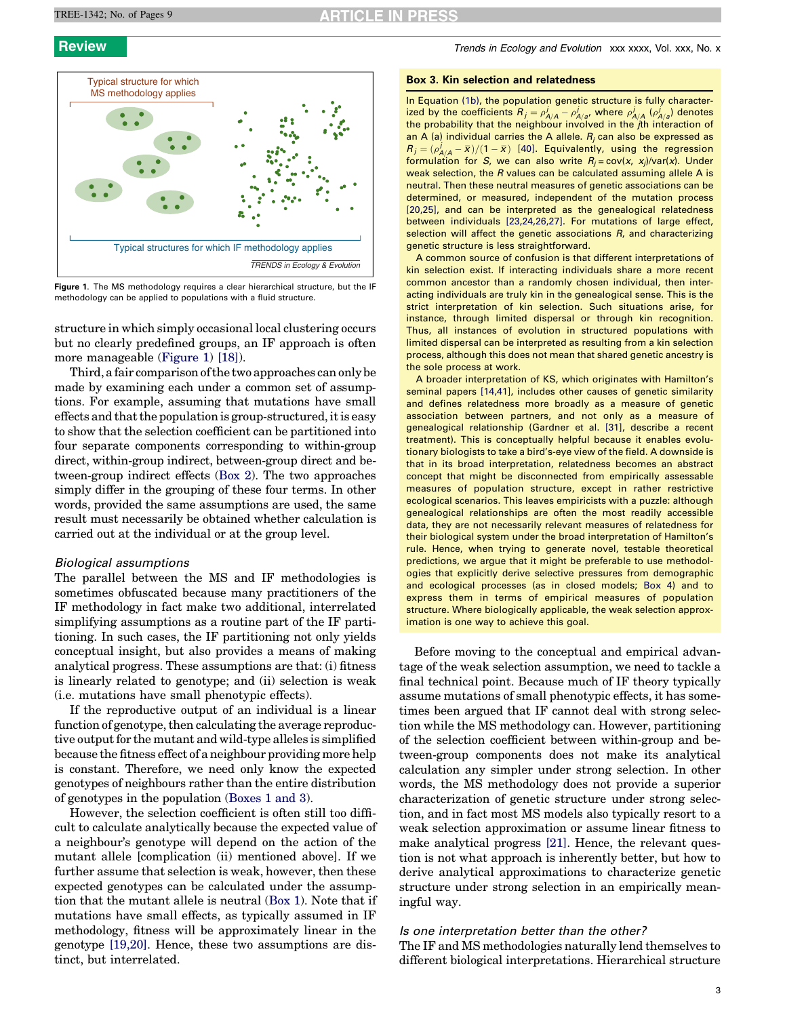

Figure 1. The MS methodology requires a clear hierarchical structure, but the IF methodology can be applied to populations with a fluid structure.

structure in which simply occasional local clustering occurs but no clearly predefined groups, an IF approach is often more manageable (Figure 1) [\[18\]](#page-7-0)).

Third, a fair comparison of the two approaches can only be made by examining each under a common set of assumptions. For example, assuming that mutations have small effects and that the population is group-structured, it is easy to show that the selection coefficient can be partitioned into four separate components corresponding to within-group direct, within-group indirect, between-group direct and between-group indirect effects ([Box 2](#page-1-0)). The two approaches simply differ in the grouping of these four terms. In other words, provided the same assumptions are used, the same result must necessarily be obtained whether calculation is carried out at the individual or at the group level.

# Biological assumptions

The parallel between the MS and IF methodologies is sometimes obfuscated because many practitioners of the IF methodology in fact make two additional, interrelated simplifying assumptions as a routine part of the IF partitioning. In such cases, the IF partitioning not only yields conceptual insight, but also provides a means of making analytical progress. These assumptions are that: (i) fitness is linearly related to genotype; and (ii) selection is weak (i.e. mutations have small phenotypic effects).

If the reproductive output of an individual is a linear function of genotype, then calculating the average reproductive output for the mutant and wild-type alleles is simplified because the fitness effect of a neighbour providing more help is constant. Therefore, we need only know the expected genotypes of neighbours rather than the entire distribution of genotypes in the population ([Boxes 1 and 3\)](#page-1-0).

However, the selection coefficient is often still too difficult to calculate analytically because the expected value of a neighbour's genotype will depend on the action of the mutant allele [complication (ii) mentioned above]. If we further assume that selection is weak, however, then these expected genotypes can be calculated under the assumption that the mutant allele is neutral ([Box 1](#page-1-0)). Note that if mutations have small effects, as typically assumed in IF methodology, fitness will be approximately linear in the genotype [\[19,20\].](#page-7-0) Hence, these two assumptions are distinct, but interrelated.

<span id="page-2-0"></span>**Review Trends in Ecology and Evolution XXX XXXX, Vol. XXX, No. x** Trends in Ecology and Evolution XXX xxxx, Vol. xxx, No. x

### Box 3. Kin selection and relatedness

In Equation [\(1b\)](#page-1-0), the population genetic structure is fully characterized by the coefficients  $R_j = \rho_{A/A}^j - \rho_{A/a}^j$ , where  $\rho_{A/A}^j$  ( $\rho_{A/a}^j$ ) denotes the probability that the neighbour involved in the *j*th interaction of an A (a) individual carries the A allele.  $R_j$  can also be expressed as  $R_j = (\rho_{A/A}^j - \bar{x})/(1 - \bar{x})$  [\[40\].](#page-7-0) Equivalently, using the regression formulation for S, we can also write  $R_i = \text{cov}(x, x_i)/\text{var}(x)$ . Under weak selection, the R values can be calculated assuming allele A is neutral. Then these neutral measures of genetic associations can be determined, or measured, independent of the mutation process [\[20,25\],](#page-7-0) and can be interpreted as the genealogical relatedness between individuals [\[23,24,26,27\]](#page-7-0). For mutations of large effect, selection will affect the genetic associations R, and characterizing genetic structure is less straightforward.

A common source of confusion is that different interpretations of kin selection exist. If interacting individuals share a more recent common ancestor than a randomly chosen individual, then interacting individuals are truly kin in the genealogical sense. This is the strict interpretation of kin selection. Such situations arise, for instance, through limited dispersal or through kin recognition. Thus, all instances of evolution in structured populations with limited dispersal can be interpreted as resulting from a kin selection process, although this does not mean that shared genetic ancestry is the sole process at work.

A broader interpretation of KS, which originates with Hamilton's seminal papers [\[14,41\],](#page-7-0) includes other causes of genetic similarity and defines relatedness more broadly as a measure of genetic association between partners, and not only as a measure of genealogical relationship (Gardner et al. [\[31\],](#page-7-0) describe a recent treatment). This is conceptually helpful because it enables evolutionary biologists to take a bird's-eye view of the field. A downside is that in its broad interpretation, relatedness becomes an abstract concept that might be disconnected from empirically assessable measures of population structure, except in rather restrictive ecological scenarios. This leaves empiricists with a puzzle: although genealogical relationships are often the most readily accessible data, they are not necessarily relevant measures of relatedness for their biological system under the broad interpretation of Hamilton's rule. Hence, when trying to generate novel, testable theoretical predictions, we argue that it might be preferable to use methodologies that explicitly derive selective pressures from demographic and ecological processes (as in closed models; [Box 4\)](#page-3-0) and to express them in terms of empirical measures of population structure. Where biologically applicable, the weak selection approximation is one way to achieve this goal.

Before moving to the conceptual and empirical advantage of the weak selection assumption, we need to tackle a final technical point. Because much of IF theory typically assume mutations of small phenotypic effects, it has sometimes been argued that IF cannot deal with strong selection while the MS methodology can. However, partitioning of the selection coefficient between within-group and between-group components does not make its analytical calculation any simpler under strong selection. In other words, the MS methodology does not provide a superior characterization of genetic structure under strong selection, and in fact most MS models also typically resort to a weak selection approximation or assume linear fitness to make analytical progress [\[21\].](#page-7-0) Hence, the relevant question is not what approach is inherently better, but how to derive analytical approximations to characterize genetic structure under strong selection in an empirically meaningful way.

# Is one interpretation better than the other?

The IF and MS methodologies naturally lend themselves to different biological interpretations. Hierarchical structure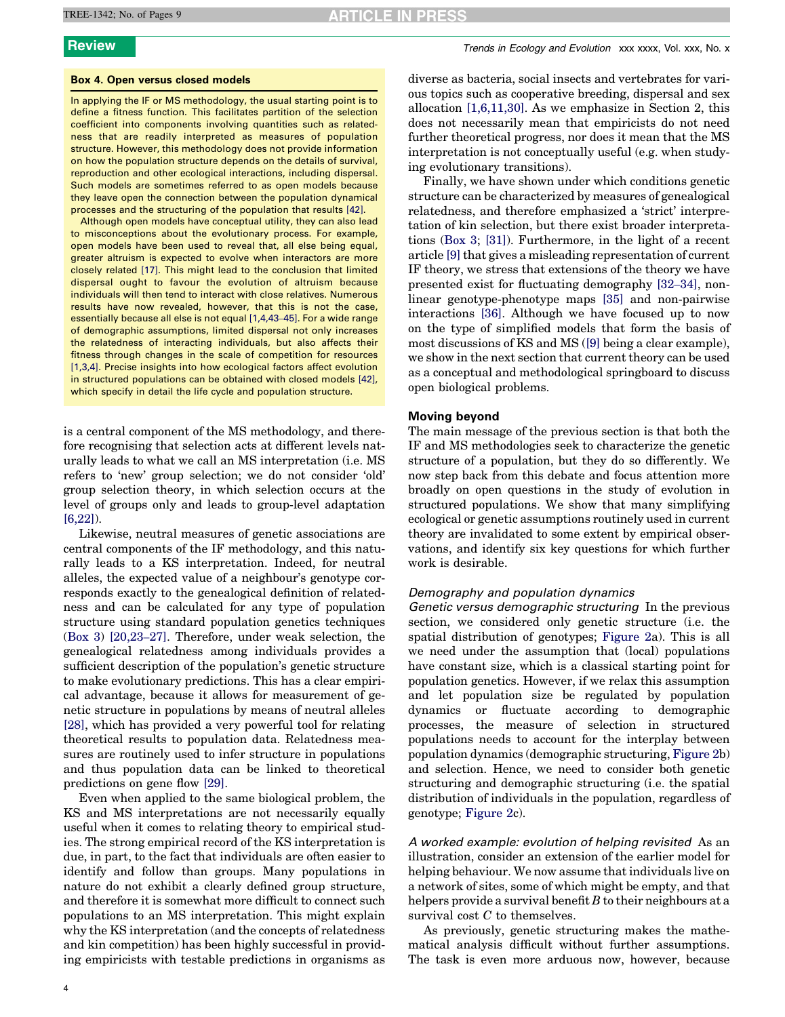# **RTICLE IN PRESS**

### <span id="page-3-0"></span>Box 4. Open versus closed models

In applying the IF or MS methodology, the usual starting point is to define a fitness function. This facilitates partition of the selection coefficient into components involving quantities such as relatedness that are readily interpreted as measures of population structure. However, this methodology does not provide information on how the population structure depends on the details of survival, reproduction and other ecological interactions, including dispersal. Such models are sometimes referred to as open models because they leave open the connection between the population dynamical processes and the structuring of the population that results [\[42\].](#page-7-0)

Although open models have conceptual utility, they can also lead to misconceptions about the evolutionary process. For example, open models have been used to reveal that, all else being equal, greater altruism is expected to evolve when interactors are more closely related [\[17\]](#page-7-0). This might lead to the conclusion that limited dispersal ought to favour the evolution of altruism because individuals will then tend to interact with close relatives. Numerous results have now revealed, however, that this is not the case, essentially because all else is not equal [\[1,4,43](#page-7-0)–45]. For a wide range of demographic assumptions, limited dispersal not only increases the relatedness of interacting individuals, but also affects their fitness through changes in the scale of competition for resources [\[1,3,4\].](#page-7-0) Precise insights into how ecological factors affect evolution in structured populations can be obtained with closed models [\[42\],](#page-7-0) which specify in detail the life cycle and population structure.

is a central component of the MS methodology, and therefore recognising that selection acts at different levels naturally leads to what we call an MS interpretation (i.e. MS refers to 'new' group selection; we do not consider 'old' group selection theory, in which selection occurs at the level of groups only and leads to group-level adaptation [\[6,22\]\)](#page-7-0).

Likewise, neutral measures of genetic associations are central components of the IF methodology, and this naturally leads to a KS interpretation. Indeed, for neutral alleles, the expected value of a neighbour's genotype corresponds exactly to the genealogical definition of relatedness and can be calculated for any type of population structure using standard population genetics techniques ([Box 3](#page-2-0)) [\[20,23](#page-7-0)–27]. Therefore, under weak selection, the genealogical relatedness among individuals provides a sufficient description of the population's genetic structure to make evolutionary predictions. This has a clear empirical advantage, because it allows for measurement of genetic structure in populations by means of neutral alleles [\[28\]](#page-7-0), which has provided a very powerful tool for relating theoretical results to population data. Relatedness measures are routinely used to infer structure in populations and thus population data can be linked to theoretical predictions on gene flow [\[29\]](#page-7-0).

Even when applied to the same biological problem, the KS and MS interpretations are not necessarily equally useful when it comes to relating theory to empirical studies. The strong empirical record of the KS interpretation is due, in part, to the fact that individuals are often easier to identify and follow than groups. Many populations in nature do not exhibit a clearly defined group structure, and therefore it is somewhat more difficult to connect such populations to an MS interpretation. This might explain why the KS interpretation (and the concepts of relatedness and kin competition) has been highly successful in providing empiricists with testable predictions in organisms as

4

diverse as bacteria, social insects and vertebrates for various topics such as cooperative breeding, dispersal and sex allocation [\[1,6,11,30\]](#page-7-0). As we emphasize in Section 2, this does not necessarily mean that empiricists do not need further theoretical progress, nor does it mean that the MS interpretation is not conceptually useful (e.g. when studying evolutionary transitions).

Finally, we have shown under which conditions genetic structure can be characterized by measures of genealogical relatedness, and therefore emphasized a 'strict' interpretation of kin selection, but there exist broader interpretations ([Box 3](#page-2-0); [\[31\]](#page-7-0)). Furthermore, in the light of a recent article [\[9\]](#page-7-0) that gives a misleading representation of current IF theory, we stress that extensions of the theory we have presented exist for fluctuating demography [\[32](#page-7-0)–34], nonlinear genotype-phenotype maps [\[35\]](#page-7-0) and non-pairwise interactions [\[36\].](#page-7-0) Although we have focused up to now on the type of simplified models that form the basis of most discussions of KS and MS [\(\[9\]](#page-7-0) being a clear example), we show in the next section that current theory can be used as a conceptual and methodological springboard to discuss open biological problems.

# Moving beyond

The main message of the previous section is that both the IF and MS methodologies seek to characterize the genetic structure of a population, but they do so differently. We now step back from this debate and focus attention more broadly on open questions in the study of evolution in structured populations. We show that many simplifying ecological or genetic assumptions routinely used in current theory are invalidated to some extent by empirical observations, and identify six key questions for which further work is desirable.

### Demography and population dynamics

Genetic versus demographic structuring In the previous section, we considered only genetic structure (i.e. the spatial distribution of genotypes; [Figure 2a](#page-4-0)). This is all we need under the assumption that (local) populations have constant size, which is a classical starting point for population genetics. However, if we relax this assumption and let population size be regulated by population dynamics or fluctuate according to demographic processes, the measure of selection in structured populations needs to account for the interplay between population dynamics (demographic structuring, [Figure 2](#page-4-0)b) and selection. Hence, we need to consider both genetic structuring and demographic structuring (i.e. the spatial distribution of individuals in the population, regardless of genotype; [Figure 2c](#page-4-0)).

A worked example: evolution of helping revisited As an illustration, consider an extension of the earlier model for helping behaviour. We now assume that individuals live on a network of sites, some of which might be empty, and that helpers provide a survival benefit  $B$  to their neighbours at a survival cost C to themselves.

As previously, genetic structuring makes the mathematical analysis difficult without further assumptions. The task is even more arduous now, however, because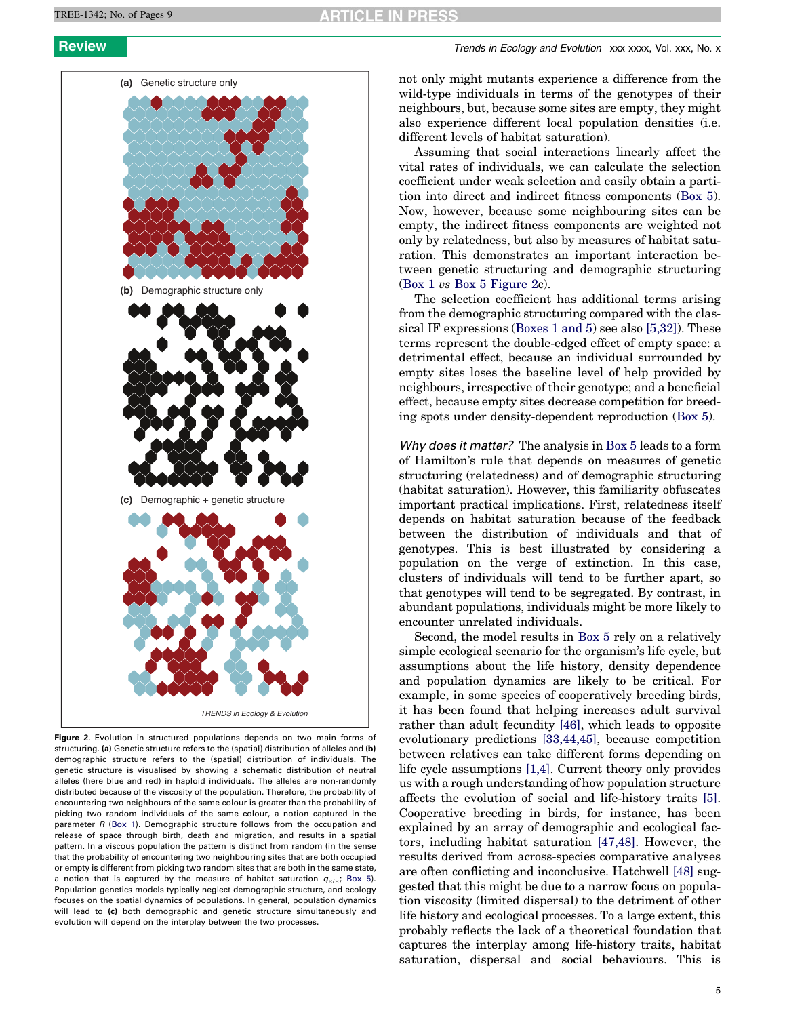<span id="page-4-0"></span>

Figure 2. Evolution in structured populations depends on two main forms of structuring. (a) Genetic structure refers to the (spatial) distribution of alleles and (b) demographic structure refers to the (spatial) distribution of individuals. The genetic structure is visualised by showing a schematic distribution of neutral alleles (here blue and red) in haploid individuals. The alleles are non-randomly distributed because of the viscosity of the population. Therefore, the probability of encountering two neighbours of the same colour is greater than the probability of picking two random individuals of the same colour, a notion captured in the parameter  $R$  [\(Box 1\)](#page-1-0). Demographic structure follows from the occupation and release of space through birth, death and migration, and results in a spatial pattern. In a viscous population the pattern is distinct from random (in the sense that the probability of encountering two neighbouring sites that are both occupied or empty is different from picking two random sites that are both in the same state, a notion that is captured by the measure of habitat saturation  $q_{x/x}$ ; [Box 5\)](#page-5-0). Population genetics models typically neglect demographic structure, and ecology focuses on the spatial dynamics of populations. In general, population dynamics will lead to (c) both demographic and genetic structure simultaneously and evolution will depend on the interplay between the two processes.

not only might mutants experience a difference from the wild-type individuals in terms of the genotypes of their neighbours, but, because some sites are empty, they might also experience different local population densities (i.e. different levels of habitat saturation).

Assuming that social interactions linearly affect the vital rates of individuals, we can calculate the selection coefficient under weak selection and easily obtain a partition into direct and indirect fitness components [\(Box 5\)](#page-5-0). Now, however, because some neighbouring sites can be empty, the indirect fitness components are weighted not only by relatedness, but also by measures of habitat saturation. This demonstrates an important interaction between genetic structuring and demographic structuring ([Box 1](#page-1-0) vs [Box 5](#page-5-0) Figure 2c).

The selection coefficient has additional terms arising from the demographic structuring compared with the classical IF expressions [\(Boxes 1 and 5\)](#page-1-0) see also [\[5,32\]\)](#page-7-0). These terms represent the double-edged effect of empty space: a detrimental effect, because an individual surrounded by empty sites loses the baseline level of help provided by neighbours, irrespective of their genotype; and a beneficial effect, because empty sites decrease competition for breeding spots under density-dependent reproduction [\(Box 5](#page-5-0)).

Why does it matter? The analysis in [Box 5](#page-5-0) leads to a form of Hamilton's rule that depends on measures of genetic structuring (relatedness) and of demographic structuring (habitat saturation). However, this familiarity obfuscates important practical implications. First, relatedness itself depends on habitat saturation because of the feedback between the distribution of individuals and that of genotypes. This is best illustrated by considering a population on the verge of extinction. In this case, clusters of individuals will tend to be further apart, so that genotypes will tend to be segregated. By contrast, in abundant populations, individuals might be more likely to encounter unrelated individuals.

Second, the model results in [Box 5](#page-5-0) rely on a relatively simple ecological scenario for the organism's life cycle, but assumptions about the life history, density dependence and population dynamics are likely to be critical. For example, in some species of cooperatively breeding birds, it has been found that helping increases adult survival rather than adult fecundity [\[46\]](#page-7-0), which leads to opposite evolutionary predictions [\[33,44,45\],](#page-7-0) because competition between relatives can take different forms depending on life cycle assumptions [\[1,4\]](#page-7-0). Current theory only provides us with a rough understanding of how population structure affects the evolution of social and life-history traits [\[5\]](#page-7-0). Cooperative breeding in birds, for instance, has been explained by an array of demographic and ecological factors, including habitat saturation [\[47,48\].](#page-7-0) However, the results derived from across-species comparative analyses are often conflicting and inconclusive. Hatchwell [\[48\]](#page-7-0) suggested that this might be due to a narrow focus on population viscosity (limited dispersal) to the detriment of other life history and ecological processes. To a large extent, this probably reflects the lack of a theoretical foundation that captures the interplay among life-history traits, habitat saturation, dispersal and social behaviours. This is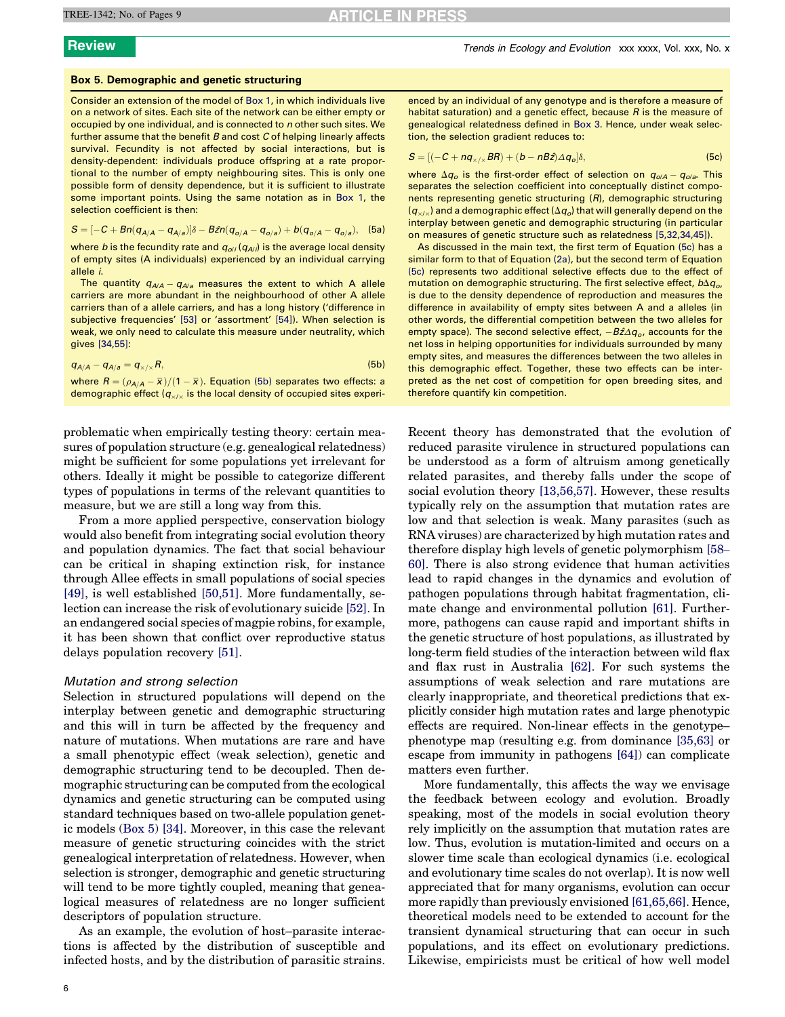# <span id="page-5-0"></span>Box 5. Demographic and genetic structuring

Consider an extension of the model of [Box 1,](#page-1-0) in which individuals live on a network of sites. Each site of the network can be either empty or occupied by one individual, and is connected to n other such sites. We further assume that the benefit  $B$  and cost  $C$  of helping linearly affects survival. Fecundity is not affected by social interactions, but is density-dependent: individuals produce offspring at a rate proportional to the number of empty neighbouring sites. This is only one possible form of density dependence, but it is sufficient to illustrate some important points. Using the same notation as in [Box 1,](#page-1-0) the selection coefficient is then:

$$
S = [-C + Bn(q_{A/A} - q_{A/a})]\delta - B\hat{z}n(q_{o/A} - q_{o/a}) + b(q_{o/A} - q_{o/a}),
$$
 (5a)

where b is the fecundity rate and  $q_{ol}$  ( $q_{A/}$ ) is the average local density of empty sites (A individuals) experienced by an individual carrying allele i.

The quantity  $q_{\mathcal{A}\mathcal{A}}-q_{\mathcal{A}\mathcal{B}}$  measures the extent to which A allele carriers are more abundant in the neighbourhood of other A allele carriers than of a allele carriers, and has a long history ('difference in subjective frequencies' [\[53\]](#page-8-0) or 'assortment' [\[54\]](#page-8-0)). When selection is weak, we only need to calculate this measure under neutrality, which gives [\[34,55\]](#page-7-0):

| $q_{A/A} - q_{A/a} = q_{\times/\times} R$ , |  |                                                                                            | (5b) |
|---------------------------------------------|--|--------------------------------------------------------------------------------------------|------|
|                                             |  | where $D \left( -\frac{\pi}{2} \right) / (1 - \pi)$ Equation (Eb) concretes two effects of |      |

where  $R = (\rho_{A/A} - \bar{x})/(1 - \bar{x})$ . Equation (5b) separates two effects: a demographic effect ( $q_{x/x}$  is the local density of occupied sites experi-

problematic when empirically testing theory: certain measures of population structure (e.g. genealogical relatedness) might be sufficient for some populations yet irrelevant for others. Ideally it might be possible to categorize different types of populations in terms of the relevant quantities to measure, but we are still a long way from this.

From a more applied perspective, conservation biology would also benefit from integrating social evolution theory and population dynamics. The fact that social behaviour can be critical in shaping extinction risk, for instance through Allee effects in small populations of social species [\[49\]](#page-7-0), is well established [\[50,51\].](#page-8-0) More fundamentally, selection can increase the risk of evolutionary suicide [\[52\]](#page-8-0). In an endangered social species of magpie robins, for example, it has been shown that conflict over reproductive status delays population recovery [\[51\]](#page-8-0).

# Mutation and strong selection

Selection in structured populations will depend on the interplay between genetic and demographic structuring and this will in turn be affected by the frequency and nature of mutations. When mutations are rare and have a small phenotypic effect (weak selection), genetic and demographic structuring tend to be decoupled. Then demographic structuring can be computed from the ecological dynamics and genetic structuring can be computed using standard techniques based on two-allele population genetic models (Box 5) [\[34\]](#page-7-0). Moreover, in this case the relevant measure of genetic structuring coincides with the strict genealogical interpretation of relatedness. However, when selection is stronger, demographic and genetic structuring will tend to be more tightly coupled, meaning that genealogical measures of relatedness are no longer sufficient descriptors of population structure.

As an example, the evolution of host–parasite interactions is affected by the distribution of susceptible and infected hosts, and by the distribution of parasitic strains. enced by an individual of any genotype and is therefore a measure of habitat saturation) and a genetic effect, because  $R$  is the measure of genealogical relatedness defined in [Box 3](#page-2-0). Hence, under weak selection, the selection gradient reduces to:

$$
S = [(-C + nq_{\times/\times}BR) + (b - nB\hat{z})\Delta q_o]\delta,
$$
 (5c)

where  $\Delta q_o$  is the first-order effect of selection on  $q_{o/A} - q_{o/a}$ . This separates the selection coefficient into conceptually distinct components representing genetic structuring (R), demographic structuring  $(q_{x/x})$  and a demographic effect  $(\Delta q_o)$  that will generally depend on the interplay between genetic and demographic structuring (in particular on measures of genetic structure such as relatedness [\[5,32,34,45\]](#page-7-0)).

As discussed in the main text, the first term of Equation (5c) has a similar form to that of Equation [\(2a\)](#page-1-0), but the second term of Equation (5c) represents two additional selective effects due to the effect of mutation on demographic structuring. The first selective effect,  $b\Delta q_{\alpha}$ is due to the density dependence of reproduction and measures the difference in availability of empty sites between A and a alleles (in other words, the differential competition between the two alleles for empty space). The second selective effect,  $-B\hat{z}\Delta q_o$ , accounts for the net loss in helping opportunities for individuals surrounded by many empty sites, and measures the differences between the two alleles in this demographic effect. Together, these two effects can be interpreted as the net cost of competition for open breeding sites, and therefore quantify kin competition.

Recent theory has demonstrated that the evolution of reduced parasite virulence in structured populations can be understood as a form of altruism among genetically related parasites, and thereby falls under the scope of social evolution theory [\[13,56,57\]](#page-7-0). However, these results typically rely on the assumption that mutation rates are low and that selection is weak. Many parasites (such as RNA viruses) are characterized by high mutation rates and therefore display high levels of genetic polymorphism [\[58](#page-8-0)– [60\]](#page-8-0). There is also strong evidence that human activities lead to rapid changes in the dynamics and evolution of pathogen populations through habitat fragmentation, climate change and environmental pollution [\[61\].](#page-8-0) Furthermore, pathogens can cause rapid and important shifts in the genetic structure of host populations, as illustrated by long-term field studies of the interaction between wild flax and flax rust in Australia [\[62\].](#page-8-0) For such systems the assumptions of weak selection and rare mutations are clearly inappropriate, and theoretical predictions that explicitly consider high mutation rates and large phenotypic effects are required. Non-linear effects in the genotype– phenotype map (resulting e.g. from dominance [\[35,63\]](#page-7-0) or escape from immunity in pathogens [\[64\]\)](#page-8-0) can complicate matters even further.

More fundamentally, this affects the way we envisage the feedback between ecology and evolution. Broadly speaking, most of the models in social evolution theory rely implicitly on the assumption that mutation rates are low. Thus, evolution is mutation-limited and occurs on a slower time scale than ecological dynamics (i.e. ecological and evolutionary time scales do not overlap). It is now well appreciated that for many organisms, evolution can occur more rapidly than previously envisioned [\[61,65,66\].](#page-8-0) Hence, theoretical models need to be extended to account for the transient dynamical structuring that can occur in such populations, and its effect on evolutionary predictions. Likewise, empiricists must be critical of how well model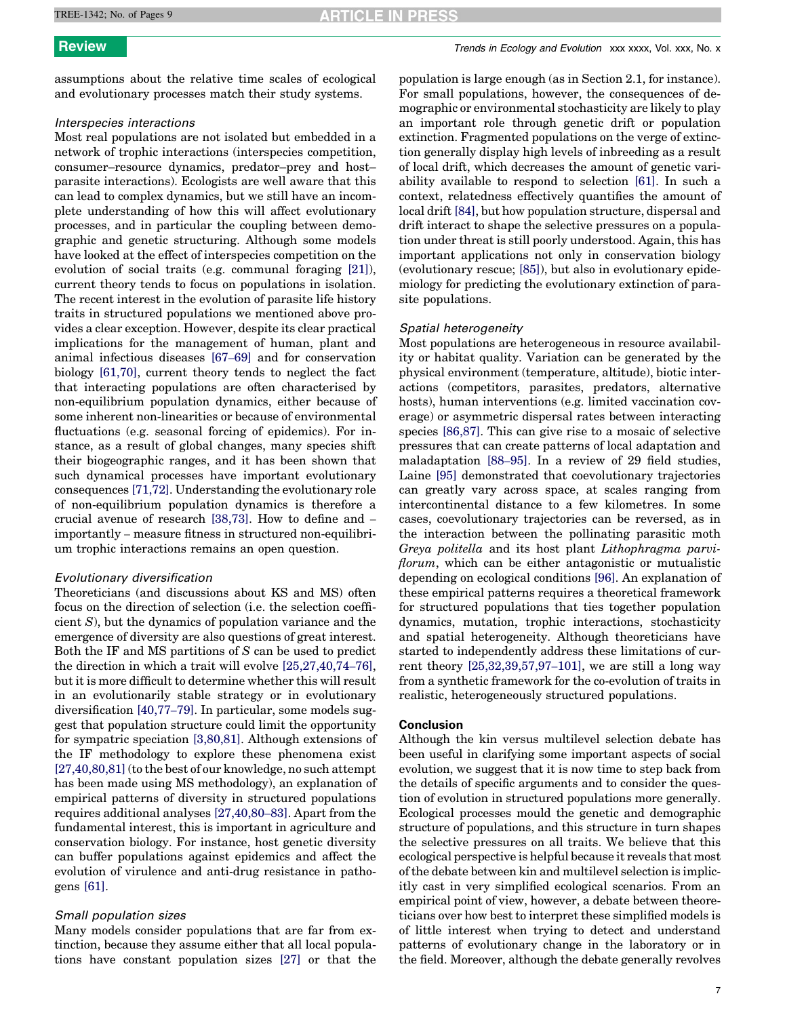# **ARTICLE IN PRESS**

assumptions about the relative time scales of ecological and evolutionary processes match their study systems.

# Interspecies interactions

Most real populations are not isolated but embedded in a network of trophic interactions (interspecies competition, consumer–resource dynamics, predator–prey and host– parasite interactions). Ecologists are well aware that this can lead to complex dynamics, but we still have an incomplete understanding of how this will affect evolutionary processes, and in particular the coupling between demographic and genetic structuring. Although some models have looked at the effect of interspecies competition on the evolution of social traits (e.g. communal foraging [\[21\]\)](#page-7-0), current theory tends to focus on populations in isolation. The recent interest in the evolution of parasite life history traits in structured populations we mentioned above provides a clear exception. However, despite its clear practical implications for the management of human, plant and animal infectious diseases [\[67](#page-8-0)–69] and for conservation biology [\[61,70\]](#page-8-0), current theory tends to neglect the fact that interacting populations are often characterised by non-equilibrium population dynamics, either because of some inherent non-linearities or because of environmental fluctuations (e.g. seasonal forcing of epidemics). For instance, as a result of global changes, many species shift their biogeographic ranges, and it has been shown that such dynamical processes have important evolutionary consequences [\[71,72\]](#page-8-0). Understanding the evolutionary role of non-equilibrium population dynamics is therefore a crucial avenue of research [\[38,73\]](#page-7-0). How to define and – importantly – measure fitness in structured non-equilibrium trophic interactions remains an open question.

# Evolutionary diversification

Theoreticians (and discussions about KS and MS) often focus on the direction of selection (i.e. the selection coeffi $cient S$ , but the dynamics of population variance and the emergence of diversity are also questions of great interest. Both the IF and MS partitions of S can be used to predict the direction in which a trait will evolve [\[25,27,40,74](#page-7-0)–76], but it is more difficult to determine whether this will result in an evolutionarily stable strategy or in evolutionary diversification [\[40,77](#page-7-0)–79]. In particular, some models suggest that population structure could limit the opportunity for sympatric speciation [\[3,80,81\].](#page-7-0) Although extensions of the IF methodology to explore these phenomena exist [\[27,40,80,81\]](#page-7-0) (to the best of our knowledge, no such attempt has been made using MS methodology), an explanation of empirical patterns of diversity in structured populations requires additional analyses [\[27,40,80](#page-7-0)–83]. Apart from the fundamental interest, this is important in agriculture and conservation biology. For instance, host genetic diversity can buffer populations against epidemics and affect the evolution of virulence and anti-drug resistance in pathogens [\[61\]](#page-8-0).

# Small population sizes

Many models consider populations that are far from extinction, because they assume either that all local populations have constant population sizes [\[27\]](#page-7-0) or that the

**Review** Trends in Ecology and Evolution xxx xxxx, Vol. xxx, No. x

population is large enough (as in Section 2.1, for instance). For small populations, however, the consequences of demographic or environmental stochasticity are likely to play an important role through genetic drift or population extinction. Fragmented populations on the verge of extinction generally display high levels of inbreeding as a result of local drift, which decreases the amount of genetic variability available to respond to selection [\[61\].](#page-8-0) In such a context, relatedness effectively quantifies the amount of local drift [\[84\]](#page-8-0), but how population structure, dispersal and drift interact to shape the selective pressures on a population under threat is still poorly understood. Again, this has important applications not only in conservation biology (evolutionary rescue; [\[85\]\)](#page-8-0), but also in evolutionary epidemiology for predicting the evolutionary extinction of parasite populations.

### Spatial heterogeneity

Most populations are heterogeneous in resource availability or habitat quality. Variation can be generated by the physical environment (temperature, altitude), biotic interactions (competitors, parasites, predators, alternative hosts), human interventions (e.g. limited vaccination coverage) or asymmetric dispersal rates between interacting species [\[86,87\].](#page-8-0) This can give rise to a mosaic of selective pressures that can create patterns of local adaptation and maladaptation [88–[95\].](#page-8-0) In a review of 29 field studies, Laine [\[95\]](#page-8-0) demonstrated that coevolutionary trajectories can greatly vary across space, at scales ranging from intercontinental distance to a few kilometres. In some cases, coevolutionary trajectories can be reversed, as in the interaction between the pollinating parasitic moth Greya politella and its host plant Lithophragma parviflorum, which can be either antagonistic or mutualistic depending on ecological conditions [\[96\]](#page-8-0). An explanation of these empirical patterns requires a theoretical framework for structured populations that ties together population dynamics, mutation, trophic interactions, stochasticity and spatial heterogeneity. Although theoreticians have started to independently address these limitations of current theory [\[25,32,39,57,97](#page-7-0)–101], we are still a long way from a synthetic framework for the co-evolution of traits in realistic, heterogeneously structured populations.

### Conclusion

Although the kin versus multilevel selection debate has been useful in clarifying some important aspects of social evolution, we suggest that it is now time to step back from the details of specific arguments and to consider the question of evolution in structured populations more generally. Ecological processes mould the genetic and demographic structure of populations, and this structure in turn shapes the selective pressures on all traits. We believe that this ecological perspective is helpful because it reveals that most of the debate between kin and multilevel selection is implicitly cast in very simplified ecological scenarios. From an empirical point of view, however, a debate between theoreticians over how best to interpret these simplified models is of little interest when trying to detect and understand patterns of evolutionary change in the laboratory or in the field. Moreover, although the debate generally revolves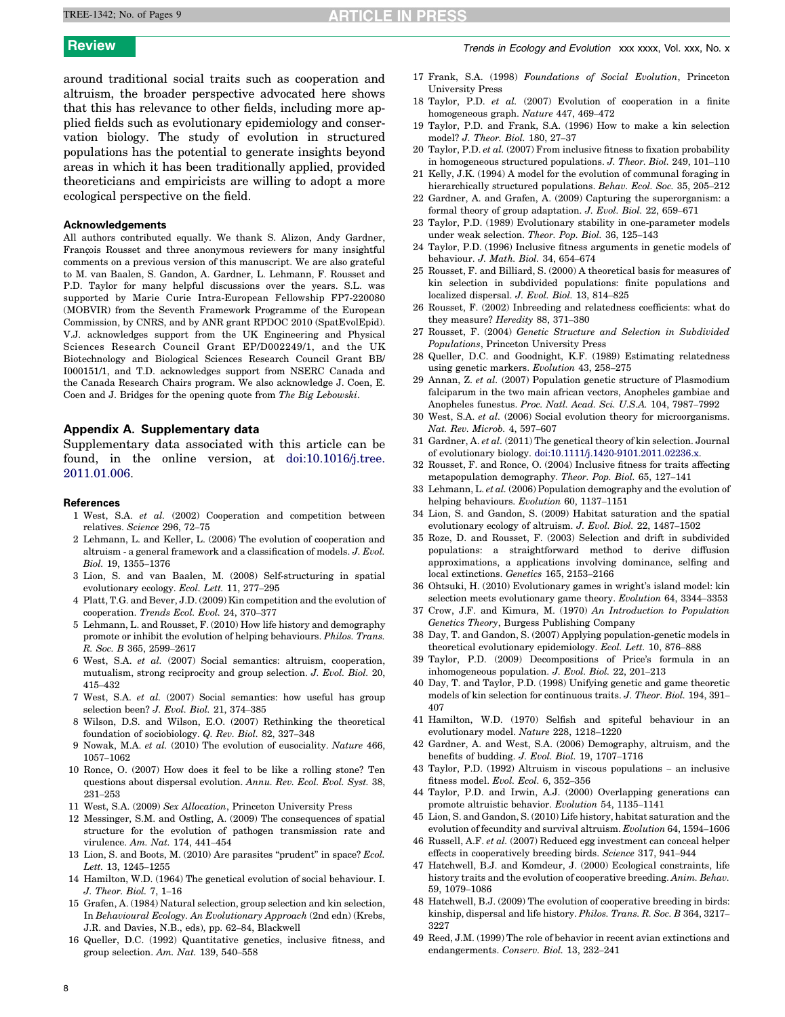<span id="page-7-0"></span>around traditional social traits such as cooperation and altruism, the broader perspective advocated here shows that this has relevance to other fields, including more applied fields such as evolutionary epidemiology and conservation biology. The study of evolution in structured populations has the potential to generate insights beyond areas in which it has been traditionally applied, provided theoreticians and empiricists are willing to adopt a more ecological perspective on the field.

# Acknowledgements

All authors contributed equally. We thank S. Alizon, Andy Gardner, François Rousset and three anonymous reviewers for many insightful comments on a previous version of this manuscript. We are also grateful to M. van Baalen, S. Gandon, A. Gardner, L. Lehmann, F. Rousset and P.D. Taylor for many helpful discussions over the years. S.L. was supported by Marie Curie Intra-European Fellowship FP7-220080 (MOBVIR) from the Seventh Framework Programme of the European Commission, by CNRS, and by ANR grant RPDOC 2010 (SpatEvolEpid). V.J. acknowledges support from the UK Engineering and Physical Sciences Research Council Grant EP/D002249/1, and the UK Biotechnology and Biological Sciences Research Council Grant BB/ I000151/1, and T.D. acknowledges support from NSERC Canada and the Canada Research Chairs program. We also acknowledge J. Coen, E. Coen and J. Bridges for the opening quote from The Big Lebowski.

# Appendix A. Supplementary data

Supplementary data associated with this article can be found, in the online version, at [doi:10.1016/j.tree.](http://dx.doi.org/10.1016/j.tree.2011.01.006) [2011.01.006.](http://dx.doi.org/10.1016/j.tree.2011.01.006)

### References

- 1 West, S.A. et al. (2002) Cooperation and competition between relatives. Science 296, 72–75
- 2 Lehmann, L. and Keller, L. (2006) The evolution of cooperation and altruism - a general framework and a classification of models. J. Evol. Biol. 19, 1355–1376
- 3 Lion, S. and van Baalen, M. (2008) Self-structuring in spatial evolutionary ecology. Ecol. Lett. 11, 277–295
- 4 Platt, T.G. and Bever, J.D. (2009) Kin competition and the evolution of cooperation. Trends Ecol. Evol. 24, 370–377
- 5 Lehmann, L. and Rousset, F. (2010) How life history and demography promote or inhibit the evolution of helping behaviours. Philos. Trans. R. Soc. B 365, 2599–2617
- 6 West, S.A. et al. (2007) Social semantics: altruism, cooperation, mutualism, strong reciprocity and group selection. J. Evol. Biol. 20, 415–432
- 7 West, S.A. et al. (2007) Social semantics: how useful has group selection been? J. Evol. Biol. 21, 374–385
- 8 Wilson, D.S. and Wilson, E.O. (2007) Rethinking the theoretical foundation of sociobiology. Q. Rev. Biol. 82, 327–348
- 9 Nowak, M.A. et al. (2010) The evolution of eusociality. Nature 466, 1057–1062
- 10 Ronce, O. (2007) How does it feel to be like a rolling stone? Ten questions about dispersal evolution. Annu. Rev. Ecol. Evol. Syst. 38, 231–253
- 11 West, S.A. (2009) Sex Allocation, Princeton University Press
- 12 Messinger, S.M. and Ostling, A. (2009) The consequences of spatial structure for the evolution of pathogen transmission rate and virulence. Am. Nat. 174, 441–454
- 13 Lion, S. and Boots, M. (2010) Are parasites "prudent" in space? Ecol. Lett. 13, 1245–1255
- 14 Hamilton, W.D. (1964) The genetical evolution of social behaviour. I. J. Theor. Biol. 7, 1–16
- 15 Grafen, A. (1984) Natural selection, group selection and kin selection, In Behavioural Ecology. An Evolutionary Approach (2nd edn) (Krebs, J.R. and Davies, N.B., eds), pp. 62–84, Blackwell
- 16 Queller, D.C. (1992) Quantitative genetics, inclusive fitness, and group selection. Am. Nat. 139, 540–558
- 17 Frank, S.A. (1998) Foundations of Social Evolution, Princeton University Press
- 18 Taylor, P.D. et al. (2007) Evolution of cooperation in a finite homogeneous graph. Nature 447, 469–472
- 19 Taylor, P.D. and Frank, S.A. (1996) How to make a kin selection model? J. Theor. Biol. 180, 27–37
- 20 Taylor, P.D. et al. (2007) From inclusive fitness to fixation probability in homogeneous structured populations. J. Theor. Biol. 249, 101–110
- 21 Kelly, J.K. (1994) A model for the evolution of communal foraging in hierarchically structured populations. Behav. Ecol. Soc. 35, 205–212
- 22 Gardner, A. and Grafen, A. (2009) Capturing the superorganism: a formal theory of group adaptation. J. Evol. Biol. 22, 659–671
- 23 Taylor, P.D. (1989) Evolutionary stability in one-parameter models under weak selection. Theor. Pop. Biol. 36, 125–143
- 24 Taylor, P.D. (1996) Inclusive fitness arguments in genetic models of behaviour. J. Math. Biol. 34, 654–674
- 25 Rousset, F. and Billiard, S. (2000) A theoretical basis for measures of kin selection in subdivided populations: finite populations and localized dispersal. J. Evol. Biol. 13, 814–825
- 26 Rousset, F. (2002) Inbreeding and relatedness coefficients: what do they measure? Heredity 88, 371–380
- 27 Rousset, F. (2004) Genetic Structure and Selection in Subdivided Populations, Princeton University Press
- 28 Queller, D.C. and Goodnight, K.F. (1989) Estimating relatedness using genetic markers. Evolution 43, 258–275
- 29 Annan, Z. et al. (2007) Population genetic structure of Plasmodium falciparum in the two main african vectors, Anopheles gambiae and Anopheles funestus. Proc. Natl. Acad. Sci. U.S.A. 104, 7987–7992
- 30 West, S.A. et al. (2006) Social evolution theory for microorganisms. Nat. Rev. Microb. 4, 597–607
- 31 Gardner, A. et al. (2011) The genetical theory of kin selection. Journal of evolutionary biology. [doi:10.1111/j.1420-9101.2011.02236.x](http://dx.doi.org/10.1111/j.1420-9101.2011.02236.x).
- 32 Rousset, F. and Ronce, O. (2004) Inclusive fitness for traits affecting metapopulation demography. Theor. Pop. Biol. 65, 127–141
- 33 Lehmann, L. et al. (2006) Population demography and the evolution of helping behaviours. Evolution 60, 1137–1151
- 34 Lion, S. and Gandon, S. (2009) Habitat saturation and the spatial evolutionary ecology of altruism. J. Evol. Biol. 22, 1487–1502
- 35 Roze, D. and Rousset, F. (2003) Selection and drift in subdivided populations: a straightforward method to derive diffusion approximations, a applications involving dominance, selfing and local extinctions. Genetics 165, 2153–2166
- 36 Ohtsuki, H. (2010) Evolutionary games in wright's island model: kin selection meets evolutionary game theory. Evolution 64, 3344–3353
- 37 Crow, J.F. and Kimura, M. (1970) An Introduction to Population Genetics Theory, Burgess Publishing Company
- 38 Day, T. and Gandon, S. (2007) Applying population-genetic models in theoretical evolutionary epidemiology. Ecol. Lett. 10, 876–888
- 39 Taylor, P.D. (2009) Decompositions of Price's formula in an inhomogeneous population. J. Evol. Biol. 22, 201–213
- 40 Day, T. and Taylor, P.D. (1998) Unifying genetic and game theoretic models of kin selection for continuous traits. J. Theor. Biol. 194, 391– 407
- 41 Hamilton, W.D. (1970) Selfish and spiteful behaviour in an evolutionary model. Nature 228, 1218–1220
- 42 Gardner, A. and West, S.A. (2006) Demography, altruism, and the benefits of budding. J. Evol. Biol. 19, 1707–1716
- 43 Taylor, P.D. (1992) Altruism in viscous populations an inclusive fitness model. Evol. Ecol. 6, 352–356
- 44 Taylor, P.D. and Irwin, A.J. (2000) Overlapping generations can promote altruistic behavior. Evolution 54, 1135–1141
- 45 Lion, S. and Gandon, S. (2010) Life history, habitat saturation and the evolution of fecundity and survival altruism. Evolution 64, 1594–1606
- 46 Russell, A.F. et al. (2007) Reduced egg investment can conceal helper effects in cooperatively breeding birds. Science 317, 941–944
- 47 Hatchwell, B.J. and Komdeur, J. (2000) Ecological constraints, life history traits and the evolution of cooperative breeding. Anim. Behav. 59, 1079–1086
- 48 Hatchwell, B.J. (2009) The evolution of cooperative breeding in birds: kinship, dispersal and life history. Philos. Trans. R. Soc. B 364, 3217– 3227
- 49 Reed, J.M. (1999) The role of behavior in recent avian extinctions and endangerments. Conserv. Biol. 13, 232–241